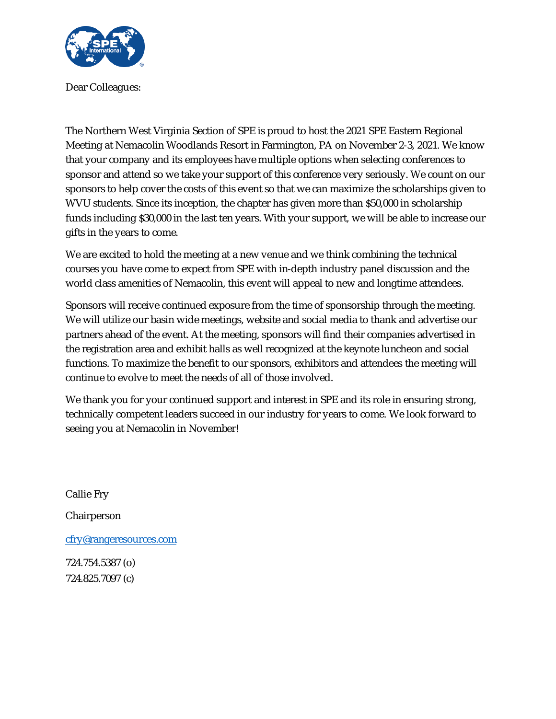

Dear Colleagues:

The Northern West Virginia Section of SPE is proud to host the 2021 SPE Eastern Regional Meeting at Nemacolin Woodlands Resort in Farmington, PA on November 2-3, 2021. We know that your company and its employees have multiple options when selecting conferences to sponsor and attend so we take your support of this conference very seriously. We count on our sponsors to help cover the costs of this event so that we can maximize the scholarships given to WVU students. Since its inception, the chapter has given more than \$50,000 in scholarship funds including \$30,000 in the last ten years. With your support, we will be able to increase our gifts in the years to come.

We are excited to hold the meeting at a new venue and we think combining the technical courses you have come to expect from SPE with in-depth industry panel discussion and the world class amenities of Nemacolin, this event will appeal to new and longtime attendees.

Sponsors will receive continued exposure from the time of sponsorship through the meeting. We will utilize our basin wide meetings, website and social media to thank and advertise our partners ahead of the event. At the meeting, sponsors will find their companies advertised in the registration area and exhibit halls as well recognized at the keynote luncheon and social functions. To maximize the benefit to our sponsors, exhibitors and attendees the meeting will continue to evolve to meet the needs of all of those involved.

We thank you for your continued support and interest in SPE and its role in ensuring strong, technically competent leaders succeed in our industry for years to come. We look forward to seeing you at Nemacolin in November!

Callie Fry Chairperson cfry@rangeresources.com 724.754.5387 (o)

724.825.7097 (c)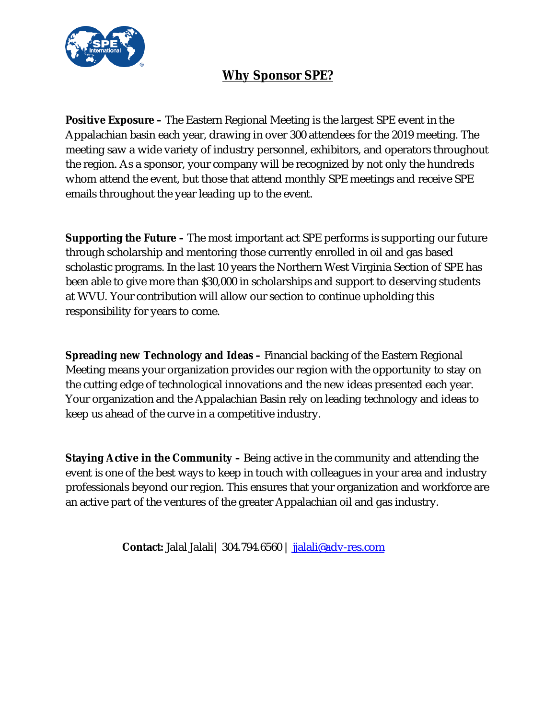

# **Why Sponsor SPE?**

**Positive Exposure –** The Eastern Regional Meeting is the largest SPE event in the Appalachian basin each year, drawing in over 300 attendees for the 2019 meeting. The meeting saw a wide variety of industry personnel, exhibitors, and operators throughout the region. As a sponsor, your company will be recognized by not only the hundreds whom attend the event, but those that attend monthly SPE meetings and receive SPE emails throughout the year leading up to the event.

**Supporting the Future –** The most important act SPE performs is supporting our future through scholarship and mentoring those currently enrolled in oil and gas based scholastic programs. In the last 10 years the Northern West Virginia Section of SPE has been able to give more than \$30,000 in scholarships and support to deserving students at WVU. Your contribution will allow our section to continue upholding this responsibility for years to come.

**Spreading new Technology and Ideas –** Financial backing of the Eastern Regional Meeting means your organization provides our region with the opportunity to stay on the cutting edge of technological innovations and the new ideas presented each year. Your organization and the Appalachian Basin rely on leading technology and ideas to keep us ahead of the curve in a competitive industry.

**Staying Active in the Community –** Being active in the community and attending the event is one of the best ways to keep in touch with colleagues in your area and industry professionals beyond our region. This ensures that your organization and workforce are an active part of the ventures of the greater Appalachian oil and gas industry.

**Contact:** Jalal Jalali| 304.794.6560 | jjalali@adv-res.com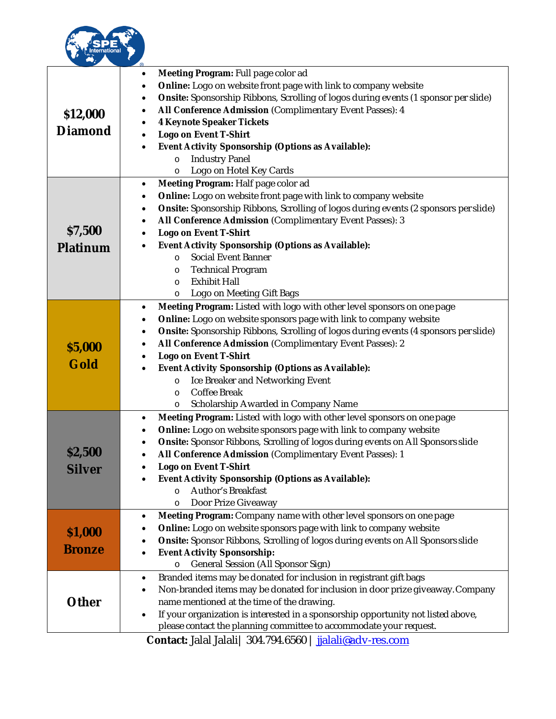

| \$12,000<br>Diamond      | Meeting Program: Full page color ad<br>٠<br>Online: Logo on website front page with link to company website<br>Onsite: Sponsorship Ribbons, Scrolling of logos during events (1 sponsor per slide)<br>$\bullet$<br>All Conference Admission (Complimentary Event Passes): 4<br>$\bullet$<br>4 Keynote Speaker Tickets<br>٠<br>Logo on Event T-Shirt<br>Event Activity Sponsorship (Options as Available):<br><b>Industry Panel</b><br>$\circ$<br>Logo on Hotel Key Cards<br>O                                                                   |  |
|--------------------------|-------------------------------------------------------------------------------------------------------------------------------------------------------------------------------------------------------------------------------------------------------------------------------------------------------------------------------------------------------------------------------------------------------------------------------------------------------------------------------------------------------------------------------------------------|--|
| \$7,500<br>Platinum      | Meeting Program: Half page color ad<br>$\bullet$<br>Online: Logo on website front page with link to company website<br>$\bullet$<br>Onsite: Sponsorship Ribbons, Scrolling of logos during events (2 sponsors per slide)<br>$\bullet$<br>All Conference Admission (Complimentary Event Passes): 3<br>٠<br>Logo on Event T-Shirt<br>$\bullet$<br>Event Activity Sponsorship (Options as Available):<br>Social Event Banner<br>$\circ$<br><b>Technical Program</b><br>$\circ$<br><b>Exhibit Hall</b><br>$\circ$<br>Logo on Meeting Gift Bags<br>O |  |
| \$5,000<br>Gold          | Meeting Program: Listed with logo with other level sponsors on one page<br>$\bullet$<br>Online: Logo on website sponsors page with link to company website<br>٠<br>Onsite: Sponsorship Ribbons, Scrolling of logos during events (4 sponsors per slide)<br>٠<br>All Conference Admission (Complimentary Event Passes): 2<br>Logo on Event T-Shirt<br>Event Activity Sponsorship (Options as Available):<br>Ice Breaker and Networking Event<br>$\circ$<br>Coffee Break<br>$\circ$<br>Scholarship Awarded in Company Name<br>O                   |  |
| \$2,500<br>Silver        | Meeting Program: Listed with logo with other level sponsors on one page<br>٠<br>Online: Logo on website sponsors page with link to company website<br>Onsite: Sponsor Ribbons, Scrolling of logos during events on All Sponsors slide<br>All Conference Admission (Complimentary Event Passes): 1<br>Logo on Event T-Shirt<br>Event Activity Sponsorship (Options as Available):<br>Author's Breakfast<br>$\circ$<br>Door Prize Giveaway<br>$\circ$                                                                                             |  |
| \$1,000<br><b>Bronze</b> | Meeting Program: Company name with other level sponsors on one page<br>$\bullet$<br>Online: Logo on website sponsors page with link to company website<br>$\bullet$<br>Onsite: Sponsor Ribbons, Scrolling of logos during events on All Sponsors slide<br>Event Activity Sponsorship:<br>General Session (All Sponsor Sign)<br>$\circ$                                                                                                                                                                                                          |  |
| Other                    | Branded items may be donated for inclusion in registrant gift bags<br>$\bullet$<br>Non-branded items may be donated for inclusion in door prize giveaway. Company<br>$\bullet$<br>name mentioned at the time of the drawing.<br>If your organization is interested in a sponsorship opportunity not listed above,<br>$\bullet$<br>please contact the planning committee to accommodate your request.                                                                                                                                            |  |
|                          | Contact: Jalal Jalali   304.794.6560   jalali@adv-res.com                                                                                                                                                                                                                                                                                                                                                                                                                                                                                       |  |